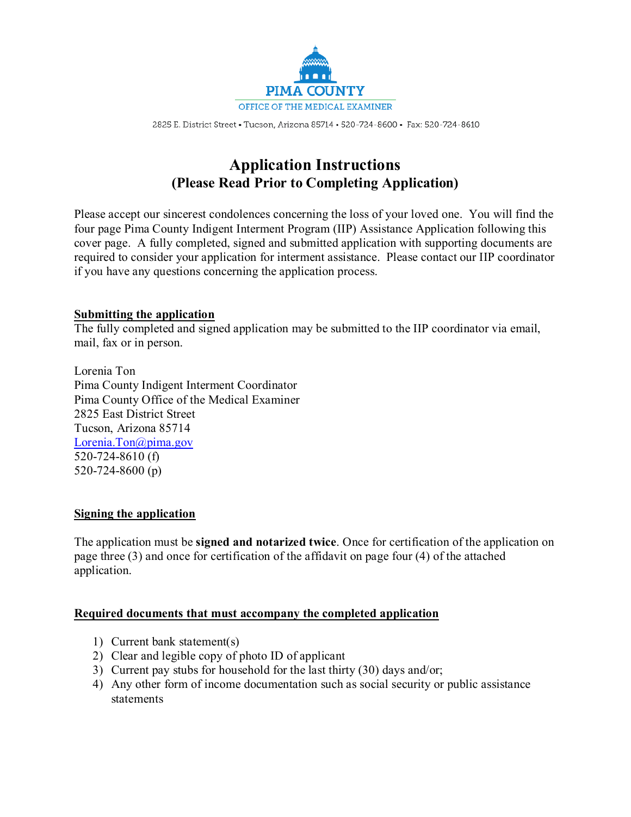

## **Application Instructions (Please Read Prior to Completing Application)**

Please accept our sincerest condolences concerning the loss of your loved one. You will find the four page Pima County Indigent Interment Program (IIP) Assistance Application following this cover page. A fully completed, signed and submitted application with supporting documents are required to consider your application for interment assistance. Please contact our IIP coordinator if you have any questions concerning the application process.

#### **Submitting the application**

The fully completed and signed application may be submitted to the IIP coordinator via email, mail, fax or in person.

Lorenia Ton Pima County Indigent Interment Coordinator Pima County Office of the Medical Examiner 2825 East District Street Tucson, Arizona 85714 [Lorenia.Ton@pima.gov](mailto:Lorenia.Ton@pima.gov) 520-724-8610 (f) 520-724-8600 (p)

#### **Signing the application**

The application must be **signed and notarized twice**. Once for certification of the application on page three (3) and once for certification of the affidavit on page four (4) of the attached application.

#### **Required documents that must accompany the completed application**

- 1) Current bank statement(s)
- 2) Clear and legible copy of photo ID of applicant
- 3) Current pay stubs for household for the last thirty (30) days and/or;
- 4) Any other form of income documentation such as social security or public assistance statements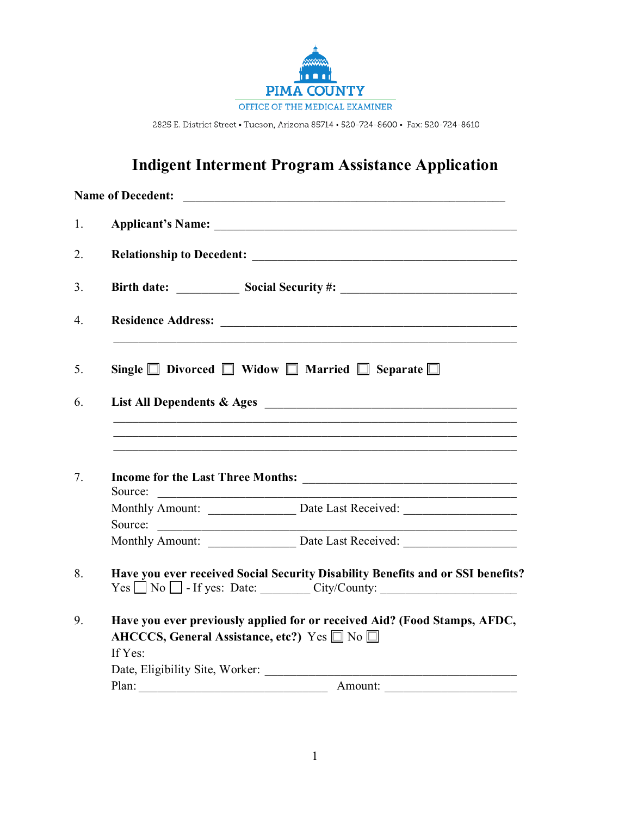

# **Indigent Interment Program Assistance Application**

| <b>Name of Decedent:</b> | and the control of the control of the control of the control of the control of the control of the control of the                                                                                                                                                                                                                                            |
|--------------------------|-------------------------------------------------------------------------------------------------------------------------------------------------------------------------------------------------------------------------------------------------------------------------------------------------------------------------------------------------------------|
|                          |                                                                                                                                                                                                                                                                                                                                                             |
|                          |                                                                                                                                                                                                                                                                                                                                                             |
|                          |                                                                                                                                                                                                                                                                                                                                                             |
|                          |                                                                                                                                                                                                                                                                                                                                                             |
|                          | Single $\Box$ Divorced $\Box$ Widow $\Box$ Married $\Box$ Separate $\Box$                                                                                                                                                                                                                                                                                   |
|                          |                                                                                                                                                                                                                                                                                                                                                             |
|                          | <u> 1989 - Johann Stoff, amerikansk politiker (* 1908)</u>                                                                                                                                                                                                                                                                                                  |
|                          |                                                                                                                                                                                                                                                                                                                                                             |
| Source:                  | <u> 1989 - Andrea Albert III, poet e poet a provincia e a provincia e a provincia e a provincia e a provincia e</u><br><u> 1989 - Johann John Harry Harry Harry Harry Harry Harry Harry Harry Harry Harry Harry Harry Harry Harry Harry Harry Harry Harry Harry Harry Harry Harry Harry Harry Harry Harry Harry Harry Harry Harry Harry Harry Harry Har</u> |
|                          |                                                                                                                                                                                                                                                                                                                                                             |
|                          | Source:                                                                                                                                                                                                                                                                                                                                                     |
|                          | Have you ever received Social Security Disability Benefits and or SSI benefits?                                                                                                                                                                                                                                                                             |
|                          |                                                                                                                                                                                                                                                                                                                                                             |
|                          | Have you ever previously applied for or received Aid? (Food Stamps, AFDC,                                                                                                                                                                                                                                                                                   |
|                          | AHCCCS, General Assistance, etc?) Yes □ No □                                                                                                                                                                                                                                                                                                                |
| If Yes:                  |                                                                                                                                                                                                                                                                                                                                                             |
|                          | Date, Eligibility Site, Worker:<br><u> 1989 - Johann Barbara, martin amerikan basal dan berasal dalam basal dalam basal dalam basal dalam basal dala</u><br>Amount:                                                                                                                                                                                         |
|                          |                                                                                                                                                                                                                                                                                                                                                             |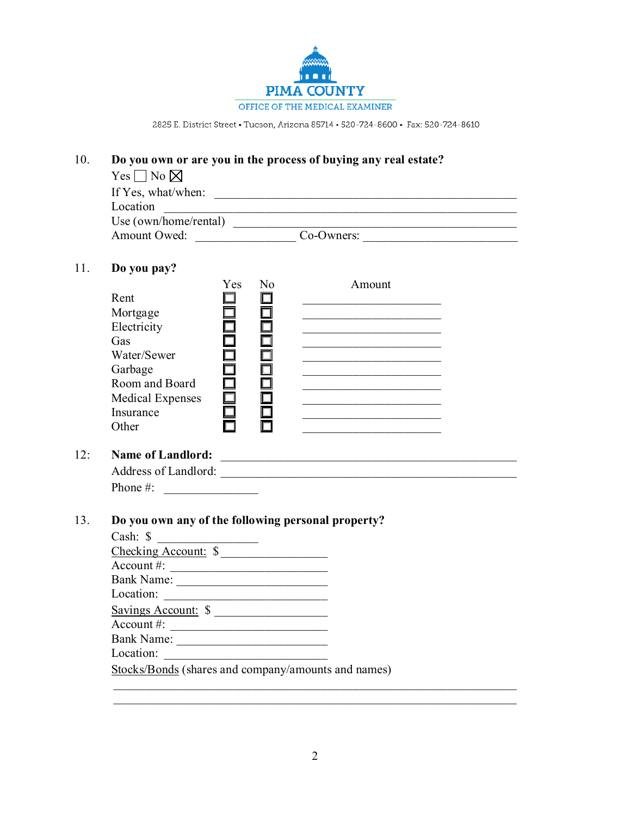

#### 10. **Do you own or are you in the process of buying any real estate?**

| Yes $  \hspace{.1cm}  $ No $\boxtimes$ |            |  |
|----------------------------------------|------------|--|
| If Yes, what/when:                     |            |  |
| Location                               |            |  |
| Use (own/home/rental)                  |            |  |
| Amount Owed:                           | Co-Owners: |  |

#### 11. **Do you pay?**

|                         | Yes | No | Amount |
|-------------------------|-----|----|--------|
| Rent                    |     |    |        |
| Mortgage                |     |    |        |
| Electricity             |     |    |        |
| Gas                     |     |    |        |
| Water/Sewer             |     |    |        |
| Garbage                 |     |    |        |
| Room and Board          |     |    |        |
| <b>Medical Expenses</b> |     |    |        |
| Insurance               |     |    |        |
| Other                   |     |    |        |

#### 12: Name of Landlord:

| Address of Landlord: |  |
|----------------------|--|
| Phone $\#$ :         |  |

### 13. **Do you own any of the following personal property?**

| Cash: $\$                                           |  |
|-----------------------------------------------------|--|
| Checking Account: \$                                |  |
| Account $\#$ :                                      |  |
| <b>Bank Name:</b>                                   |  |
| Location:                                           |  |
| Savings Account: \$                                 |  |
| Account $\#$ :                                      |  |
| <b>Bank Name:</b>                                   |  |
| Location:                                           |  |
| Stocks/Bonds (shares and company/amounts and names) |  |
|                                                     |  |

\_\_\_\_\_\_\_\_\_\_\_\_\_\_\_\_\_\_\_\_\_\_\_\_\_\_\_\_\_\_\_\_\_\_\_\_\_\_\_\_\_\_\_\_\_\_\_\_\_\_\_\_\_\_\_\_\_\_\_\_\_\_\_\_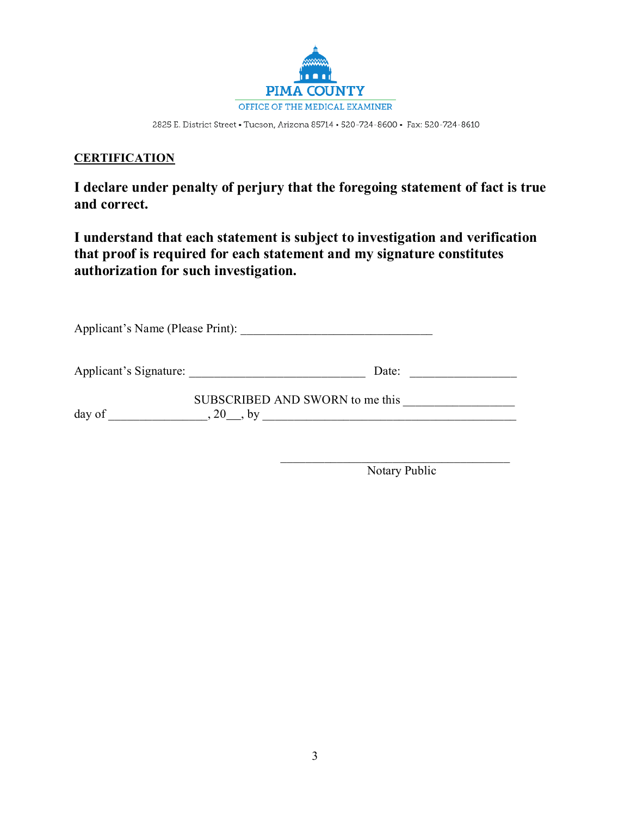

#### **CERTIFICATION**

**I declare under penalty of perjury that the foregoing statement of fact is true and correct.**

**I understand that each statement is subject to investigation and verification that proof is required for each statement and my signature constitutes authorization for such investigation.**

| Applicant's Name (Please Print): |                                                |       |
|----------------------------------|------------------------------------------------|-------|
| Applicant's Signature:           |                                                | Date: |
| day of                           | SUBSCRIBED AND SWORN to me this<br>$20 \t, by$ |       |

 $\_$ Notary Public